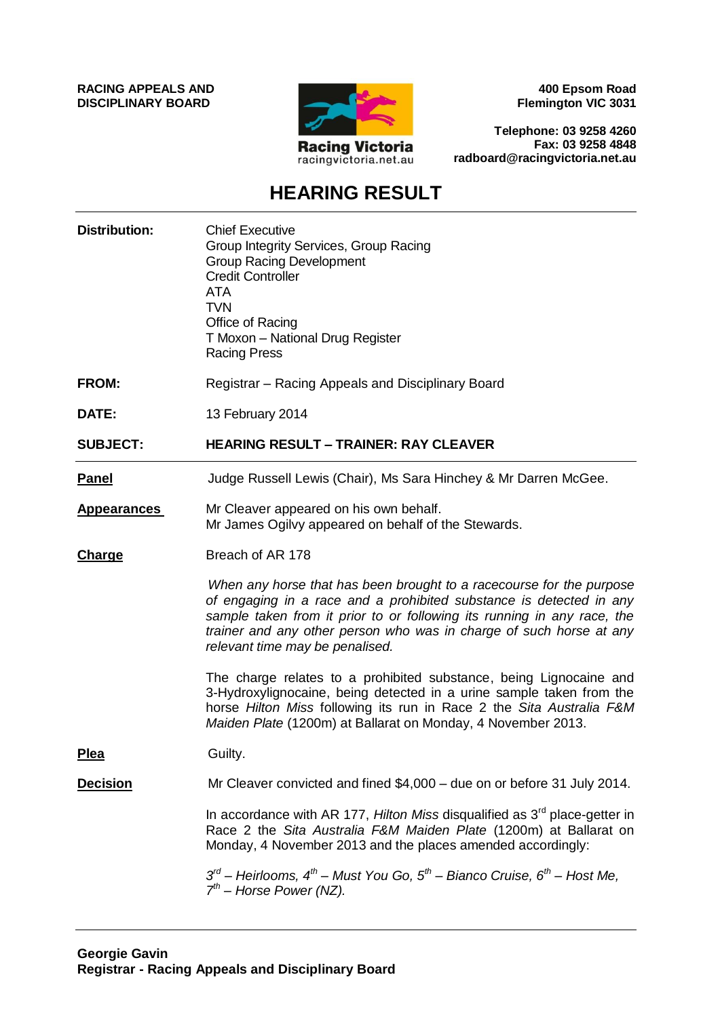**RACING APPEALS AND DISCIPLINARY BOARD**



**400 Epsom Road Flemington VIC 3031**

**Telephone: 03 9258 4260 Fax: 03 9258 4848 radboard@racingvictoria.net.au**

# **HEARING RESULT**

| <b>Distribution:</b> | <b>Chief Executive</b><br>Group Integrity Services, Group Racing<br><b>Group Racing Development</b><br><b>Credit Controller</b><br><b>ATA</b><br><b>TVN</b><br>Office of Racing<br>T Moxon - National Drug Register<br><b>Racing Press</b>                                                                                       |
|----------------------|----------------------------------------------------------------------------------------------------------------------------------------------------------------------------------------------------------------------------------------------------------------------------------------------------------------------------------|
| FROM:                | Registrar – Racing Appeals and Disciplinary Board                                                                                                                                                                                                                                                                                |
| DATE:                | 13 February 2014                                                                                                                                                                                                                                                                                                                 |
| <b>SUBJECT:</b>      | <b>HEARING RESULT - TRAINER: RAY CLEAVER</b>                                                                                                                                                                                                                                                                                     |
| <b>Panel</b>         | Judge Russell Lewis (Chair), Ms Sara Hinchey & Mr Darren McGee.                                                                                                                                                                                                                                                                  |
| <b>Appearances</b>   | Mr Cleaver appeared on his own behalf.<br>Mr James Ogilvy appeared on behalf of the Stewards.                                                                                                                                                                                                                                    |
| Charge               | Breach of AR 178                                                                                                                                                                                                                                                                                                                 |
|                      | When any horse that has been brought to a racecourse for the purpose<br>of engaging in a race and a prohibited substance is detected in any<br>sample taken from it prior to or following its running in any race, the<br>trainer and any other person who was in charge of such horse at any<br>relevant time may be penalised. |
|                      | The charge relates to a prohibited substance, being Lignocaine and<br>3-Hydroxylignocaine, being detected in a urine sample taken from the<br>horse Hilton Miss following its run in Race 2 the Sita Australia F&M<br>Maiden Plate (1200m) at Ballarat on Monday, 4 November 2013.                                               |
| <b>Plea</b>          | Guilty.                                                                                                                                                                                                                                                                                                                          |
| <b>Decision</b>      | Mr Cleaver convicted and fined \$4,000 - due on or before 31 July 2014.                                                                                                                                                                                                                                                          |
|                      | In accordance with AR 177, Hilton Miss disqualified as $3rd$ place-getter in<br>Race 2 the Sita Australia F&M Maiden Plate (1200m) at Ballarat on<br>Monday, 4 November 2013 and the places amended accordingly:                                                                                                                 |
|                      | $3^{rd}$ – Heirlooms, $4^{th}$ – Must You Go, $5^{th}$ – Bianco Cruise, $6^{th}$ – Host Me,<br>$7th$ – Horse Power (NZ).                                                                                                                                                                                                         |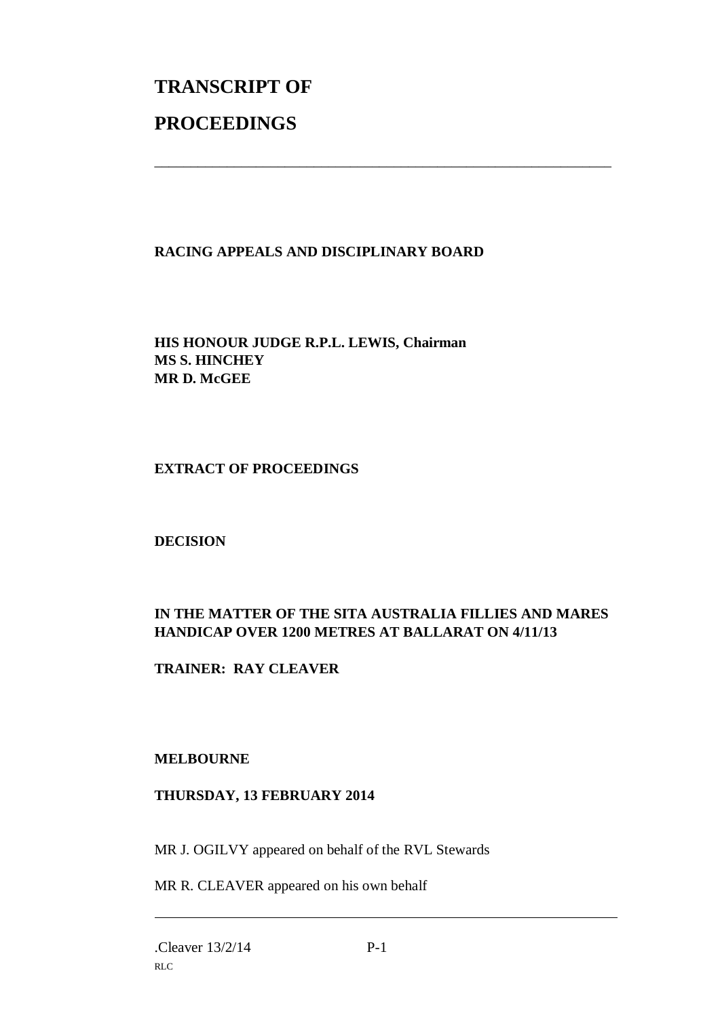# **TRANSCRIPT OF PROCEEDINGS**

# **RACING APPEALS AND DISCIPLINARY BOARD**

\_\_\_\_\_\_\_\_\_\_\_\_\_\_\_\_\_\_\_\_\_\_\_\_\_\_\_\_\_\_\_\_\_\_\_\_\_\_\_\_\_\_\_\_\_\_\_\_\_\_\_\_\_\_\_\_\_\_\_\_\_\_\_

**HIS HONOUR JUDGE R.P.L. LEWIS, Chairman MS S. HINCHEY MR D. McGEE** 

#### **EXTRACT OF PROCEEDINGS**

#### **DECISION**

# **IN THE MATTER OF THE SITA AUSTRALIA FILLIES AND MARES HANDICAP OVER 1200 METRES AT BALLARAT ON 4/11/13**

**TRAINER: RAY CLEAVER** 

## **MELBOURNE**

## **THURSDAY, 13 FEBRUARY 2014**

MR J. OGILVY appeared on behalf of the RVL Stewards

MR R. CLEAVER appeared on his own behalf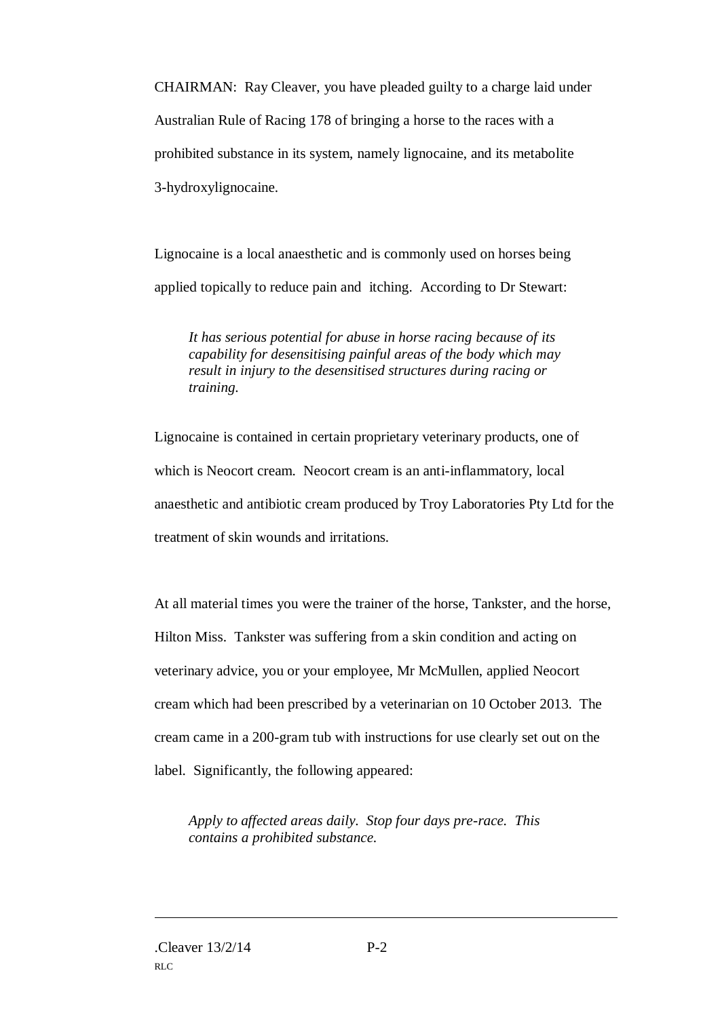CHAIRMAN: Ray Cleaver, you have pleaded guilty to a charge laid under Australian Rule of Racing 178 of bringing a horse to the races with a prohibited substance in its system, namely lignocaine, and its metabolite 3-hydroxylignocaine.

Lignocaine is a local anaesthetic and is commonly used on horses being applied topically to reduce pain and itching. According to Dr Stewart:

*It has serious potential for abuse in horse racing because of its capability for desensitising painful areas of the body which may result in injury to the desensitised structures during racing or training.* 

Lignocaine is contained in certain proprietary veterinary products, one of which is Neocort cream. Neocort cream is an anti-inflammatory, local anaesthetic and antibiotic cream produced by Troy Laboratories Pty Ltd for the treatment of skin wounds and irritations.

At all material times you were the trainer of the horse, Tankster, and the horse, Hilton Miss. Tankster was suffering from a skin condition and acting on veterinary advice, you or your employee, Mr McMullen, applied Neocort cream which had been prescribed by a veterinarian on 10 October 2013. The cream came in a 200-gram tub with instructions for use clearly set out on the label. Significantly, the following appeared:

*Apply to affected areas daily. Stop four days pre-race. This contains a prohibited substance.*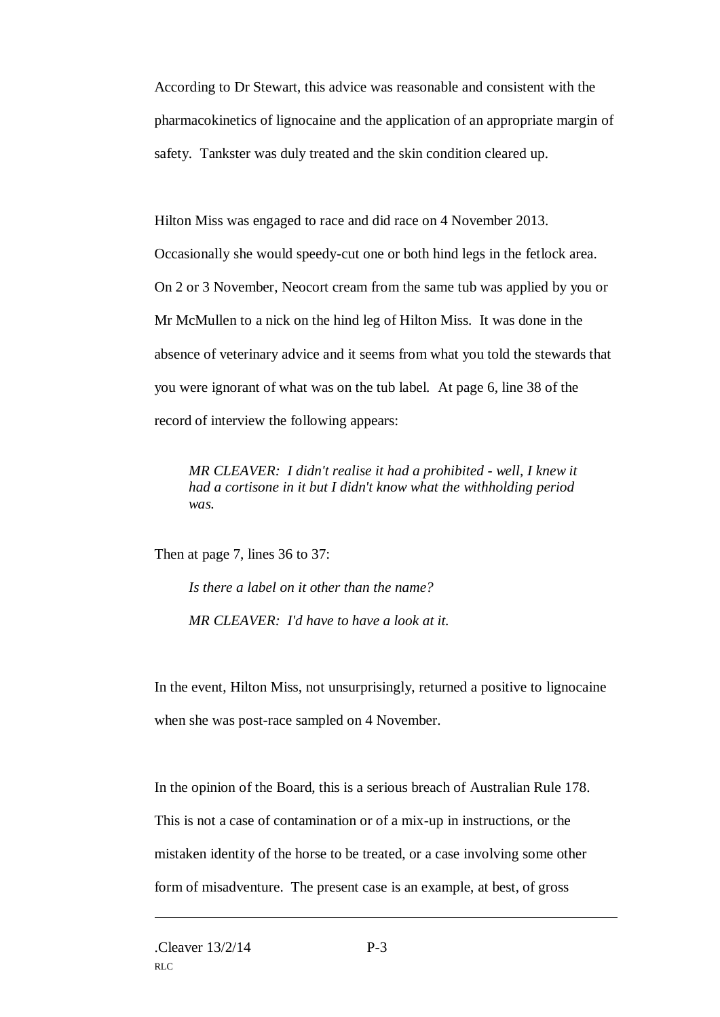According to Dr Stewart, this advice was reasonable and consistent with the pharmacokinetics of lignocaine and the application of an appropriate margin of safety. Tankster was duly treated and the skin condition cleared up.

Hilton Miss was engaged to race and did race on 4 November 2013. Occasionally she would speedy-cut one or both hind legs in the fetlock area. On 2 or 3 November, Neocort cream from the same tub was applied by you or Mr McMullen to a nick on the hind leg of Hilton Miss. It was done in the absence of veterinary advice and it seems from what you told the stewards that you were ignorant of what was on the tub label. At page 6, line 38 of the record of interview the following appears:

*MR CLEAVER: I didn't realise it had a prohibited - well, I knew it had a cortisone in it but I didn't know what the withholding period was.* 

Then at page 7, lines 36 to 37:

*Is there a label on it other than the name? MR CLEAVER: I'd have to have a look at it.* 

In the event, Hilton Miss, not unsurprisingly, returned a positive to lignocaine when she was post-race sampled on 4 November.

In the opinion of the Board, this is a serious breach of Australian Rule 178. This is not a case of contamination or of a mix-up in instructions, or the mistaken identity of the horse to be treated, or a case involving some other form of misadventure. The present case is an example, at best, of gross